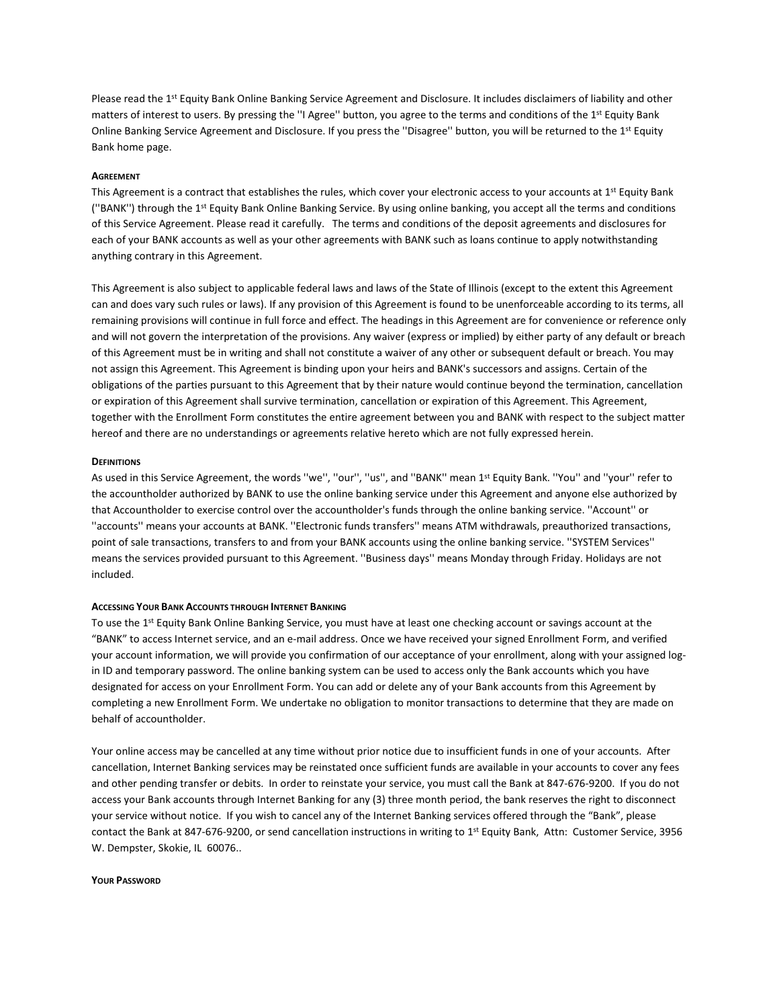Please read the 1<sup>st</sup> Equity Bank Online Banking Service Agreement and Disclosure. It includes disclaimers of liability and other matters of interest to users. By pressing the "I Agree" button, you agree to the terms and conditions of the 1<sup>st</sup> Equity Bank Online Banking Service Agreement and Disclosure. If you press the "Disagree" button, you will be returned to the  $1^{st}$  Equity Bank home page.

### **AGREEMENT**

This Agreement is a contract that establishes the rules, which cover your electronic access to your accounts at 1<sup>st</sup> Equity Bank (''BANK'') through the 1st Equity Bank Online Banking Service. By using online banking, you accept all the terms and conditions of this Service Agreement. Please read it carefully. The terms and conditions of the deposit agreements and disclosures for each of your BANK accounts as well as your other agreements with BANK such as loans continue to apply notwithstanding anything contrary in this Agreement.

This Agreement is also subject to applicable federal laws and laws of the State of Illinois (except to the extent this Agreement can and does vary such rules or laws). If any provision of this Agreement is found to be unenforceable according to its terms, all remaining provisions will continue in full force and effect. The headings in this Agreement are for convenience or reference only and will not govern the interpretation of the provisions. Any waiver (express or implied) by either party of any default or breach of this Agreement must be in writing and shall not constitute a waiver of any other or subsequent default or breach. You may not assign this Agreement. This Agreement is binding upon your heirs and BANK's successors and assigns. Certain of the obligations of the parties pursuant to this Agreement that by their nature would continue beyond the termination, cancellation or expiration of this Agreement shall survive termination, cancellation or expiration of this Agreement. This Agreement, together with the Enrollment Form constitutes the entire agreement between you and BANK with respect to the subject matter hereof and there are no understandings or agreements relative hereto which are not fully expressed herein.

### **DEFINITIONS**

As used in this Service Agreement, the words ''we'', ''our'', ''us'', and ''BANK'' mean 1st Equity Bank. ''You'' and ''your'' refer to the accountholder authorized by BANK to use the online banking service under this Agreement and anyone else authorized by that Accountholder to exercise control over the accountholder's funds through the online banking service. ''Account'' or ''accounts'' means your accounts at BANK. ''Electronic funds transfers'' means ATM withdrawals, preauthorized transactions, point of sale transactions, transfers to and from your BANK accounts using the online banking service. ''SYSTEM Services'' means the services provided pursuant to this Agreement. ''Business days'' means Monday through Friday. Holidays are not included.

### ACCESSING YOUR BANK ACCOUNTS THROUGH INTERNET BANKING

To use the 1<sup>st</sup> Equity Bank Online Banking Service, you must have at least one checking account or savings account at the "BANK" to access Internet service, and an e-mail address. Once we have received your signed Enrollment Form, and verified your account information, we will provide you confirmation of our acceptance of your enrollment, along with your assigned login ID and temporary password. The online banking system can be used to access only the Bank accounts which you have designated for access on your Enrollment Form. You can add or delete any of your Bank accounts from this Agreement by completing a new Enrollment Form. We undertake no obligation to monitor transactions to determine that they are made on behalf of accountholder.

Your online access may be cancelled at any time without prior notice due to insufficient funds in one of your accounts. After cancellation, Internet Banking services may be reinstated once sufficient funds are available in your accounts to cover any fees and other pending transfer or debits. In order to reinstate your service, you must call the Bank at 847-676-9200. If you do not access your Bank accounts through Internet Banking for any (3) three month period, the bank reserves the right to disconnect your service without notice. If you wish to cancel any of the Internet Banking services offered through the "Bank", please contact the Bank at 847-676-9200, or send cancellation instructions in writing to 1st Equity Bank, Attn: Customer Service, 3956 W. Dempster, Skokie, IL 60076..

### YOUR PASSWORD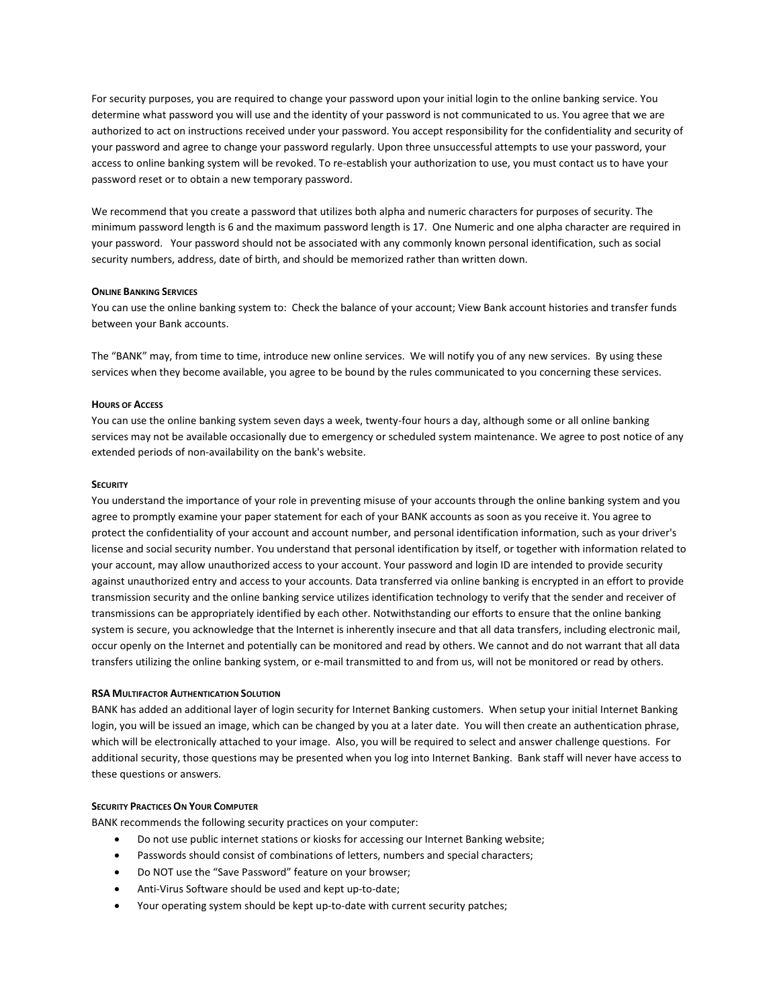For security purposes, you are required to change your password upon your initial login to the online banking service. You determine what password you will use and the identity of your password is not communicated to us. You agree that we are authorized to act on instructions received under your password. You accept responsibility for the confidentiality and security of your password and agree to change your password regularly. Upon three unsuccessful attempts to use your password, your access to online banking system will be revoked. To re-establish your authorization to use, you must contact us to have your password reset or to obtain a new temporary password.

We recommend that you create a password that utilizes both alpha and numeric characters for purposes of security. The minimum password length is 6 and the maximum password length is 17. One Numeric and one alpha character are required in your password. Your password should not be associated with any commonly known personal identification, such as social security numbers, address, date of birth, and should be memorized rather than written down.

### **ONLINE BANKING SERVICES**

You can use the online banking system to: Check the balance of your account; View Bank account histories and transfer funds between your Bank accounts.

The "BANK" may, from time to time, introduce new online services. We will notify you of any new services. By using these services when they become available, you agree to be bound by the rules communicated to you concerning these services.

### HOURS OF ACCESS

You can use the online banking system seven days a week, twenty-four hours a day, although some or all online banking services may not be available occasionally due to emergency or scheduled system maintenance. We agree to post notice of any extended periods of non-availability on the bank's website.

### **SECURITY**

You understand the importance of your role in preventing misuse of your accounts through the online banking system and you agree to promptly examine your paper statement for each of your BANK accounts as soon as you receive it. You agree to protect the confidentiality of your account and account number, and personal identification information, such as your driver's license and social security number. You understand that personal identification by itself, or together with information related to your account, may allow unauthorized access to your account. Your password and login ID are intended to provide security against unauthorized entry and access to your accounts. Data transferred via online banking is encrypted in an effort to provide transmission security and the online banking service utilizes identification technology to verify that the sender and receiver of transmissions can be appropriately identified by each other. Notwithstanding our efforts to ensure that the online banking system is secure, you acknowledge that the Internet is inherently insecure and that all data transfers, including electronic mail, occur openly on the Internet and potentially can be monitored and read by others. We cannot and do not warrant that all data transfers utilizing the online banking system, or e-mail transmitted to and from us, will not be monitored or read by others.

## RSA MULTIFACTOR AUTHENTICATION SOLUTION

BANK has added an additional layer of login security for Internet Banking customers. When setup your initial Internet Banking login, you will be issued an image, which can be changed by you at a later date. You will then create an authentication phrase, which will be electronically attached to your image. Also, you will be required to select and answer challenge questions. For additional security, those questions may be presented when you log into Internet Banking. Bank staff will never have access to these questions or answers.

#### SECURITY PRACTICES ON YOUR COMPUTER

BANK recommends the following security practices on your computer:

- Do not use public internet stations or kiosks for accessing our Internet Banking website;
- Passwords should consist of combinations of letters, numbers and special characters;
- Do NOT use the "Save Password" feature on your browser;
- Anti-Virus Software should be used and kept up-to-date;
- Your operating system should be kept up-to-date with current security patches;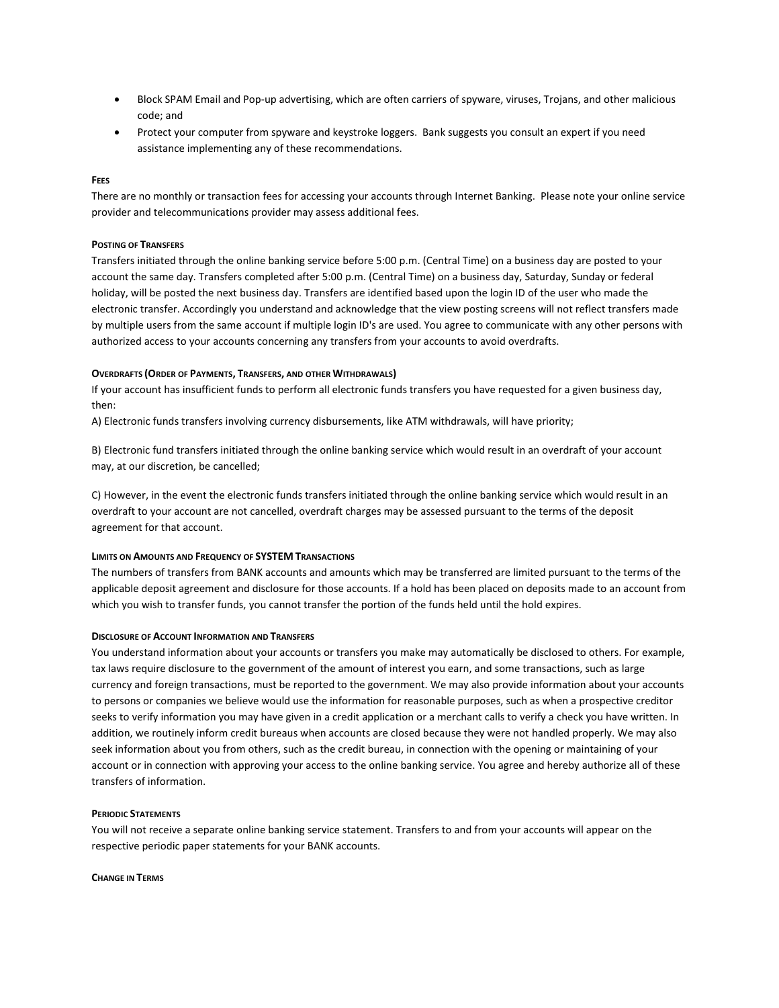- Block SPAM Email and Pop-up advertising, which are often carriers of spyware, viruses, Trojans, and other malicious code; and
- Protect your computer from spyware and keystroke loggers. Bank suggests you consult an expert if you need assistance implementing any of these recommendations.

# **FFES**

There are no monthly or transaction fees for accessing your accounts through Internet Banking. Please note your online service provider and telecommunications provider may assess additional fees.

# POSTING OF TRANSFERS

Transfers initiated through the online banking service before 5:00 p.m. (Central Time) on a business day are posted to your account the same day. Transfers completed after 5:00 p.m. (Central Time) on a business day, Saturday, Sunday or federal holiday, will be posted the next business day. Transfers are identified based upon the login ID of the user who made the electronic transfer. Accordingly you understand and acknowledge that the view posting screens will not reflect transfers made by multiple users from the same account if multiple login ID's are used. You agree to communicate with any other persons with authorized access to your accounts concerning any transfers from your accounts to avoid overdrafts.

# OVERDRAFTS (ORDER OF PAYMENTS, TRANSFERS, AND OTHER WITHDRAWALS)

If your account has insufficient funds to perform all electronic funds transfers you have requested for a given business day, then:

A) Electronic funds transfers involving currency disbursements, like ATM withdrawals, will have priority;

B) Electronic fund transfers initiated through the online banking service which would result in an overdraft of your account may, at our discretion, be cancelled;

C) However, in the event the electronic funds transfers initiated through the online banking service which would result in an overdraft to your account are not cancelled, overdraft charges may be assessed pursuant to the terms of the deposit agreement for that account.

# LIMITS ON AMOUNTS AND FREQUENCY OF SYSTEM TRANSACTIONS

The numbers of transfers from BANK accounts and amounts which may be transferred are limited pursuant to the terms of the applicable deposit agreement and disclosure for those accounts. If a hold has been placed on deposits made to an account from which you wish to transfer funds, you cannot transfer the portion of the funds held until the hold expires.

# DISCLOSURE OF ACCOUNT INFORMATION AND TRANSFERS

You understand information about your accounts or transfers you make may automatically be disclosed to others. For example, tax laws require disclosure to the government of the amount of interest you earn, and some transactions, such as large currency and foreign transactions, must be reported to the government. We may also provide information about your accounts to persons or companies we believe would use the information for reasonable purposes, such as when a prospective creditor seeks to verify information you may have given in a credit application or a merchant calls to verify a check you have written. In addition, we routinely inform credit bureaus when accounts are closed because they were not handled properly. We may also seek information about you from others, such as the credit bureau, in connection with the opening or maintaining of your account or in connection with approving your access to the online banking service. You agree and hereby authorize all of these transfers of information.

# PERIODIC STATEMENTS

You will not receive a separate online banking service statement. Transfers to and from your accounts will appear on the respective periodic paper statements for your BANK accounts.

#### CHANGE IN TERMS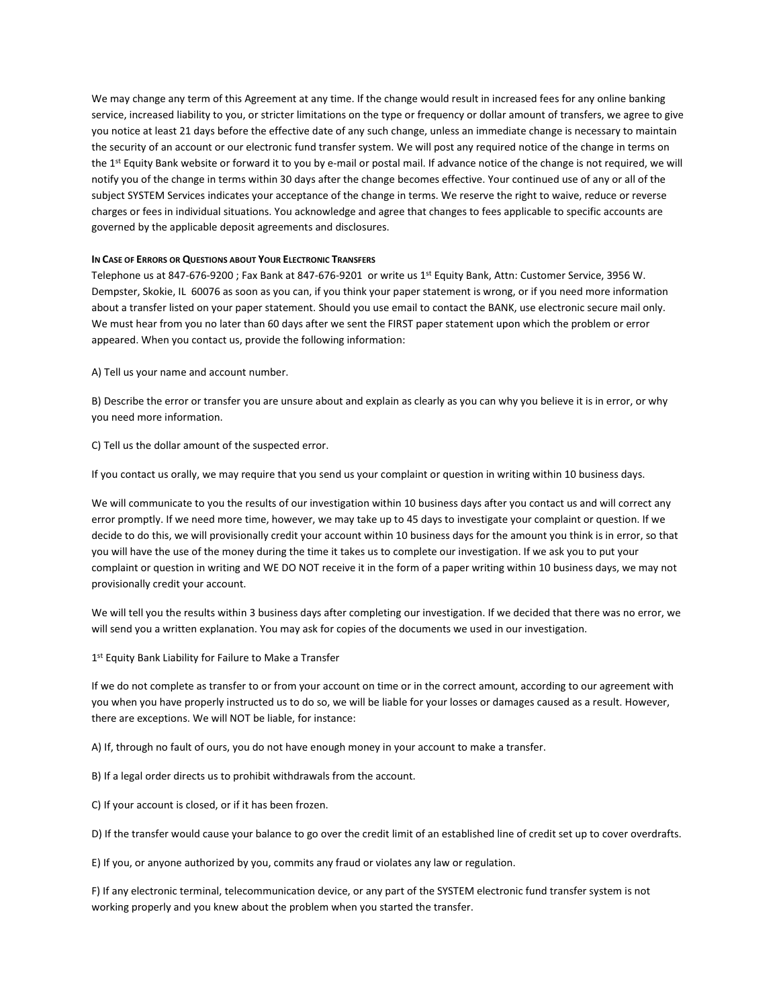We may change any term of this Agreement at any time. If the change would result in increased fees for any online banking service, increased liability to you, or stricter limitations on the type or frequency or dollar amount of transfers, we agree to give you notice at least 21 days before the effective date of any such change, unless an immediate change is necessary to maintain the security of an account or our electronic fund transfer system. We will post any required notice of the change in terms on the 1st Equity Bank website or forward it to you by e-mail or postal mail. If advance notice of the change is not required, we will notify you of the change in terms within 30 days after the change becomes effective. Your continued use of any or all of the subject SYSTEM Services indicates your acceptance of the change in terms. We reserve the right to waive, reduce or reverse charges or fees in individual situations. You acknowledge and agree that changes to fees applicable to specific accounts are governed by the applicable deposit agreements and disclosures.

# IN CASE OF ERRORS OR QUESTIONS ABOUT YOUR ELECTRONIC TRANSFERS

Telephone us at 847-676-9200; Fax Bank at 847-676-9201 or write us  $1^{st}$  Equity Bank, Attn: Customer Service, 3956 W. Dempster, Skokie, IL 60076 as soon as you can, if you think your paper statement is wrong, or if you need more information about a transfer listed on your paper statement. Should you use email to contact the BANK, use electronic secure mail only. We must hear from you no later than 60 days after we sent the FIRST paper statement upon which the problem or error appeared. When you contact us, provide the following information:

A) Tell us your name and account number.

B) Describe the error or transfer you are unsure about and explain as clearly as you can why you believe it is in error, or why you need more information.

C) Tell us the dollar amount of the suspected error.

If you contact us orally, we may require that you send us your complaint or question in writing within 10 business days.

We will communicate to you the results of our investigation within 10 business days after you contact us and will correct any error promptly. If we need more time, however, we may take up to 45 days to investigate your complaint or question. If we decide to do this, we will provisionally credit your account within 10 business days for the amount you think is in error, so that you will have the use of the money during the time it takes us to complete our investigation. If we ask you to put your complaint or question in writing and WE DO NOT receive it in the form of a paper writing within 10 business days, we may not provisionally credit your account.

We will tell you the results within 3 business days after completing our investigation. If we decided that there was no error, we will send you a written explanation. You may ask for copies of the documents we used in our investigation.

1<sup>st</sup> Equity Bank Liability for Failure to Make a Transfer

If we do not complete as transfer to or from your account on time or in the correct amount, according to our agreement with you when you have properly instructed us to do so, we will be liable for your losses or damages caused as a result. However, there are exceptions. We will NOT be liable, for instance:

A) If, through no fault of ours, you do not have enough money in your account to make a transfer.

B) If a legal order directs us to prohibit withdrawals from the account.

C) If your account is closed, or if it has been frozen.

D) If the transfer would cause your balance to go over the credit limit of an established line of credit set up to cover overdrafts.

E) If you, or anyone authorized by you, commits any fraud or violates any law or regulation.

F) If any electronic terminal, telecommunication device, or any part of the SYSTEM electronic fund transfer system is not working properly and you knew about the problem when you started the transfer.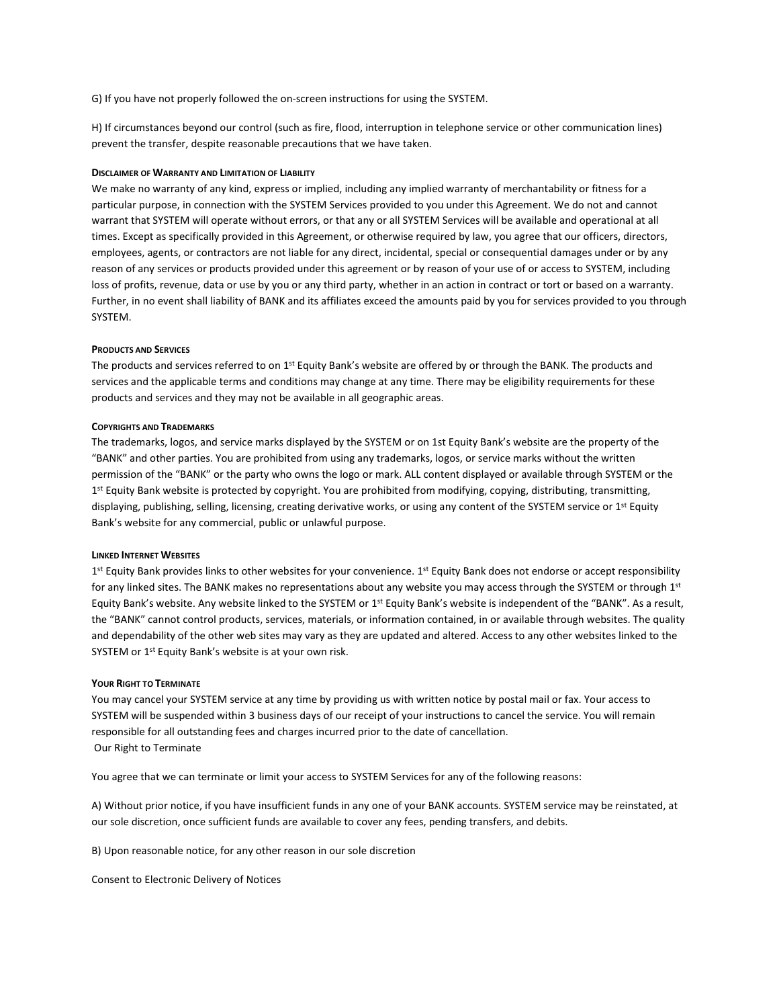G) If you have not properly followed the on-screen instructions for using the SYSTEM.

H) If circumstances beyond our control (such as fire, flood, interruption in telephone service or other communication lines) prevent the transfer, despite reasonable precautions that we have taken.

### DISCLAIMER OF WARRANTY AND LIMITATION OF LIABILITY

We make no warranty of any kind, express or implied, including any implied warranty of merchantability or fitness for a particular purpose, in connection with the SYSTEM Services provided to you under this Agreement. We do not and cannot warrant that SYSTEM will operate without errors, or that any or all SYSTEM Services will be available and operational at all times. Except as specifically provided in this Agreement, or otherwise required by law, you agree that our officers, directors, employees, agents, or contractors are not liable for any direct, incidental, special or consequential damages under or by any reason of any services or products provided under this agreement or by reason of your use of or access to SYSTEM, including loss of profits, revenue, data or use by you or any third party, whether in an action in contract or tort or based on a warranty. Further, in no event shall liability of BANK and its affiliates exceed the amounts paid by you for services provided to you through SYSTEM.

#### PRODUCTS AND SERVICES

The products and services referred to on 1<sup>st</sup> Equity Bank's website are offered by or through the BANK. The products and services and the applicable terms and conditions may change at any time. There may be eligibility requirements for these products and services and they may not be available in all geographic areas.

### COPYRIGHTS AND TRADEMARKS

The trademarks, logos, and service marks displayed by the SYSTEM or on 1st Equity Bank's website are the property of the "BANK" and other parties. You are prohibited from using any trademarks, logos, or service marks without the written permission of the "BANK" or the party who owns the logo or mark. ALL content displayed or available through SYSTEM or the 1<sup>st</sup> Equity Bank website is protected by copyright. You are prohibited from modifying, copying, distributing, transmitting, displaying, publishing, selling, licensing, creating derivative works, or using any content of the SYSTEM service or  $1^{st}$  Equity Bank's website for any commercial, public or unlawful purpose.

#### LINKED INTERNET WEBSITES

1<sup>st</sup> Equity Bank provides links to other websites for your convenience. 1<sup>st</sup> Equity Bank does not endorse or accept responsibility for any linked sites. The BANK makes no representations about any website you may access through the SYSTEM or through 1st Equity Bank's website. Any website linked to the SYSTEM or  $1<sup>st</sup>$  Equity Bank's website is independent of the "BANK". As a result, the "BANK" cannot control products, services, materials, or information contained, in or available through websites. The quality and dependability of the other web sites may vary as they are updated and altered. Access to any other websites linked to the SYSTEM or 1<sup>st</sup> Equity Bank's website is at your own risk.

#### YOUR RIGHT TO TERMINATE

You may cancel your SYSTEM service at any time by providing us with written notice by postal mail or fax. Your access to SYSTEM will be suspended within 3 business days of our receipt of your instructions to cancel the service. You will remain responsible for all outstanding fees and charges incurred prior to the date of cancellation. Our Right to Terminate

You agree that we can terminate or limit your access to SYSTEM Services for any of the following reasons:

A) Without prior notice, if you have insufficient funds in any one of your BANK accounts. SYSTEM service may be reinstated, at our sole discretion, once sufficient funds are available to cover any fees, pending transfers, and debits.

B) Upon reasonable notice, for any other reason in our sole discretion

Consent to Electronic Delivery of Notices